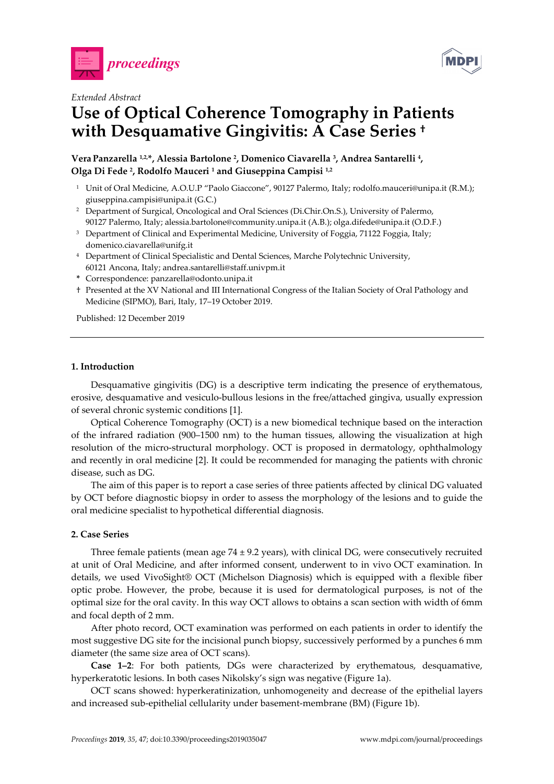



## *Extended Abstract*

# **Use of Optical Coherence Tomography in Patients with Desquamative Gingivitis: A Case Series †**

# **Vera Panzarella 1,2,\*, Alessia Bartolone 2, Domenico Ciavarella 3, Andrea Santarelli 4, Olga Di Fede 2, Rodolfo Mauceri 1 and Giuseppina Campisi 1,2**

- <sup>1</sup> Unit of Oral Medicine, A.O.U.P "Paolo Giaccone", 90127 Palermo, Italy; rodolfo.mauceri@unipa.it (R.M.); giuseppina.campisi@unipa.it (G.C.)
- 2 Department of Surgical, Oncological and Oral Sciences (Di.Chir.On.S.), University of Palermo, 90127 Palermo, Italy; alessia.bartolone@community.unipa.it (A.B.); olga.difede@unipa.it (O.D.F.)
- <sup>3</sup> Department of Clinical and Experimental Medicine, University of Foggia, 71122 Foggia, Italy; domenico.ciavarella@unifg.it
- 4 Department of Clinical Specialistic and Dental Sciences, Marche Polytechnic University, 60121 Ancona, Italy; andrea.santarelli@staff.univpm.it
- **\*** Correspondence: panzarella@odonto.unipa.it
- † Presented at the XV National and III International Congress of the Italian Society of Oral Pathology and Medicine (SIPMO), Bari, Italy, 17–19 October 2019.

Published: 12 December 2019

### **1. Introduction**

Desquamative gingivitis (DG) is a descriptive term indicating the presence of erythematous, erosive, desquamative and vesiculo-bullous lesions in the free/attached gingiva, usually expression of several chronic systemic conditions [1].

Optical Coherence Tomography (OCT) is a new biomedical technique based on the interaction of the infrared radiation (900–1500 nm) to the human tissues, allowing the visualization at high resolution of the micro-structural morphology. OCT is proposed in dermatology, ophthalmology and recently in oral medicine [2]. It could be recommended for managing the patients with chronic disease, such as DG.

The aim of this paper is to report a case series of three patients affected by clinical DG valuated by OCT before diagnostic biopsy in order to assess the morphology of the lesions and to guide the oral medicine specialist to hypothetical differential diagnosis.

## **2. Case Series**

Three female patients (mean age  $74 \pm 9.2$  years), with clinical DG, were consecutively recruited at unit of Oral Medicine, and after informed consent, underwent to in vivo OCT examination. In details, we used VivoSight® OCT (Michelson Diagnosis) which is equipped with a flexible fiber optic probe. However, the probe, because it is used for dermatological purposes, is not of the optimal size for the oral cavity. In this way OCT allows to obtains a scan section with width of 6mm and focal depth of 2 mm.

After photo record, OCT examination was performed on each patients in order to identify the most suggestive DG site for the incisional punch biopsy, successively performed by a punches 6 mm diameter (the same size area of OCT scans).

**Case 1–2**: For both patients, DGs were characterized by erythematous, desquamative, hyperkeratotic lesions. In both cases Nikolsky's sign was negative (Figure 1a).

OCT scans showed: hyperkeratinization, unhomogeneity and decrease of the epithelial layers and increased sub-epithelial cellularity under basement-membrane (BM) (Figure 1b).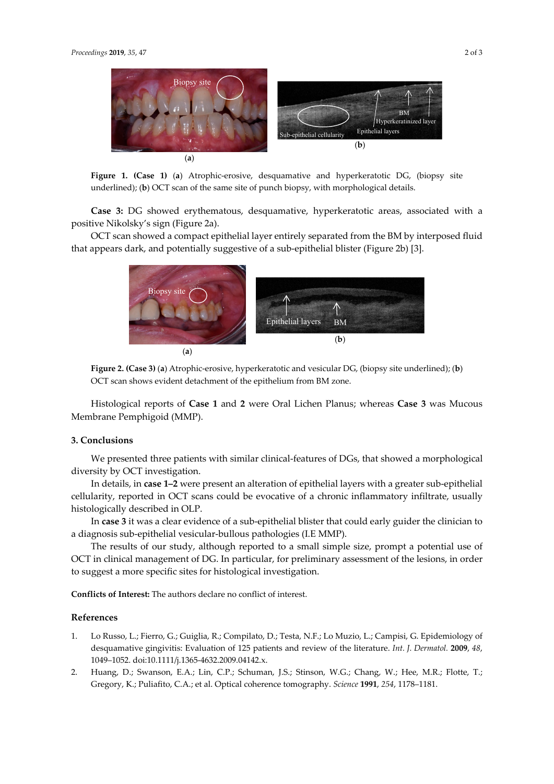

**Figure 1. (Case 1)** (**a**) Atrophic-erosive, desquamative and hyperkeratotic DG, (biopsy site underlined); (**b**) OCT scan of the same site of punch biopsy, with morphological details.

**Case 3:** DG showed erythematous, desquamative, hyperkeratotic areas, associated with a positive Nikolsky's sign (Figure 2a).

OCT scan showed a compact epithelial layer entirely separated from the BM by interposed fluid that appears dark, and potentially suggestive of a sub-epithelial blister (Figure 2b) [3].



**Figure 2. (Case 3)** (**a**) Atrophic-erosive, hyperkeratotic and vesicular DG, (biopsy site underlined); (**b**) OCT scan shows evident detachment of the epithelium from BM zone.

Histological reports of **Case 1** and **2** were Oral Lichen Planus; whereas **Case 3** was Mucous Membrane Pemphigoid (MMP).

#### **3. Conclusions**

We presented three patients with similar clinical-features of DGs, that showed a morphological diversity by OCT investigation.

In details, in **case 1–2** were present an alteration of epithelial layers with a greater sub-epithelial cellularity, reported in OCT scans could be evocative of a chronic inflammatory infiltrate, usually histologically described in OLP.

In **case 3** it was a clear evidence of a sub-epithelial blister that could early guider the clinician to a diagnosis sub-epithelial vesicular-bullous pathologies (I.E MMP).

The results of our study, although reported to a small simple size, prompt a potential use of OCT in clinical management of DG. In particular, for preliminary assessment of the lesions, in order to suggest a more specific sites for histological investigation.

**Conflicts of Interest:** The authors declare no conflict of interest.

#### **References**

- 1. Lo Russo, L.; Fierro, G.; Guiglia, R.; Compilato, D.; Testa, N.F.; Lo Muzio, L.; Campisi, G. Epidemiology of desquamative gingivitis: Evaluation of 125 patients and review of the literature. *Int. J. Dermatol.* **2009**, *48*, 1049–1052. doi:10.1111/j.1365-4632.2009.04142.x.
- 2. Huang, D.; Swanson, E.A.; Lin, C.P.; Schuman, J.S.; Stinson, W.G.; Chang, W.; Hee, M.R.; Flotte, T.; Gregory, K.; Puliafito, C.A.; et al. Optical coherence tomography. *Science* **1991**, *254*, 1178–1181.